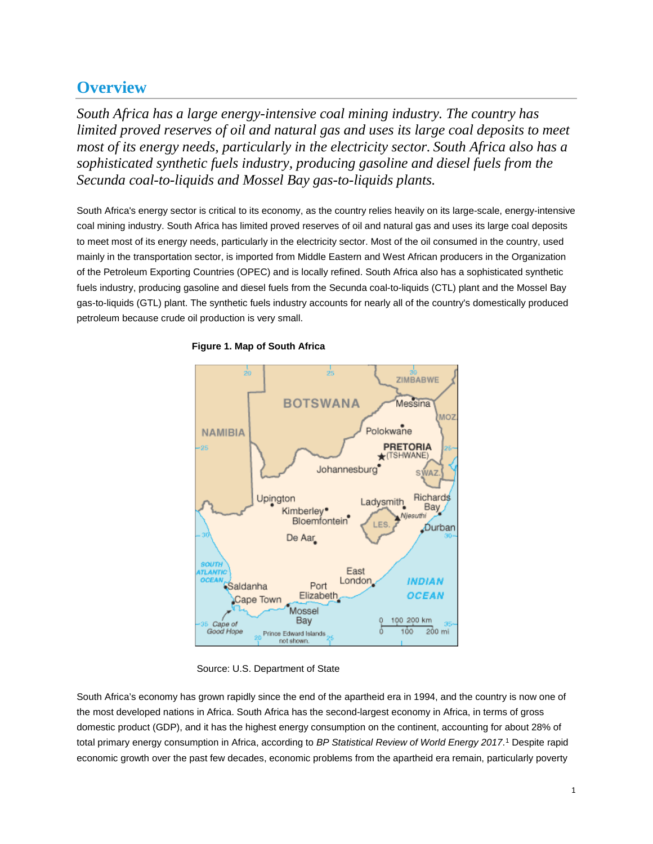# **Overview**

*South Africa has a large energy-intensive coal mining industry. The country has limited proved reserves of oil and natural gas and uses its large coal deposits to meet most of its energy needs, particularly in the electricity sector. South Africa also has a sophisticated synthetic fuels industry, producing gasoline and diesel fuels from the Secunda coal-to-liquids and Mossel Bay gas-to-liquids plants.*

South Africa's energy sector is critical to its economy, as the country relies heavily on its large-scale, energy-intensive coal mining industry. South Africa has limited proved reserves of oil and natural gas and uses its large coal deposits to meet most of its energy needs, particularly in the electricity sector. Most of the oil consumed in the country, used mainly in the transportation sector, is imported from Middle Eastern and West African producers in the Organization of the Petroleum Exporting Countries (OPEC) and is locally refined. South Africa also has a sophisticated synthetic fuels industry, producing gasoline and diesel fuels from the Secunda coal-to-liquids (CTL) plant and the Mossel Bay gas-to-liquids (GTL) plant. The synthetic fuels industry accounts for nearly all of the country's domestically produced petroleum because crude oil production is very small.



#### **Figure 1. Map of South Africa**

Source: U.S. Department of State

South Africa's economy has grown rapidly since the end of the apartheid era in 1994, and the country is now one of the most developed nations in Africa. South Africa has the second-largest economy in Africa, in terms of gross domestic product (GDP), and it has the highest energy consumption on the continent, accounting for about 28% of total primary energy consumption in Africa, according to *BP Statistical Review of World Energy 2017*. [1](#page-15-0) Despite rapid economic growth over the past few decades, economic problems from the apartheid era remain, particularly poverty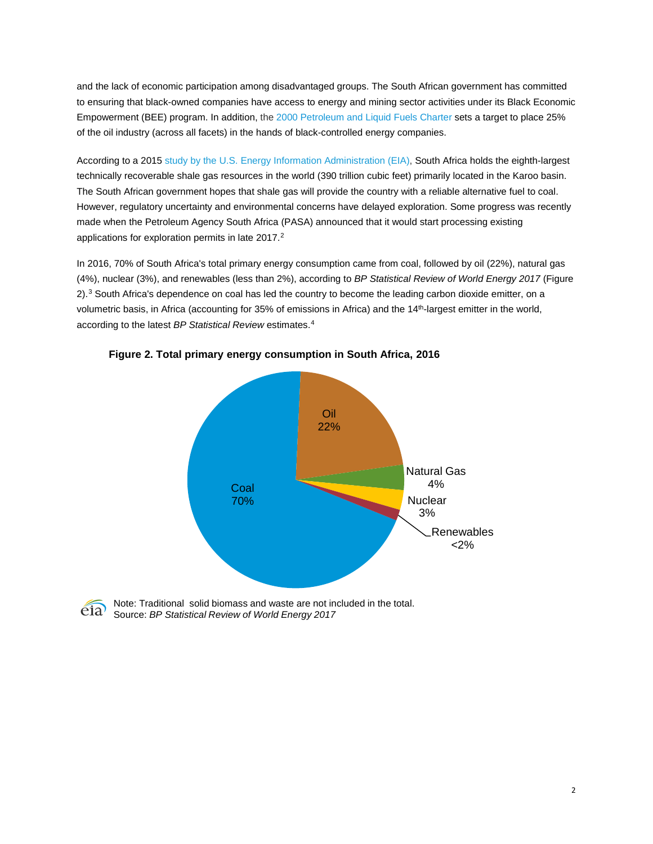and the lack of economic participation among disadvantaged groups. The South African government has committed to ensuring that black-owned companies have access to energy and mining sector activities under its Black Economic Empowerment (BEE) program. In addition, the [2000 Petroleum and Liquid Fuels Charter](http://bee.b1sa.co.za/docs/Petroleum%20and%20Liquid%20Fuels%20Industry.pdf) sets a target to place 25% of the oil industry (across all facets) in the hands of black-controlled energy companies.

According to a 201[5 study](http://www.eia.gov/analysis/studies/worldshalegas/) by the U.S. Energy Information Administration (EIA), South Africa holds the eighth-largest technically recoverable shale gas resources in the world (390 trillion cubic feet) primarily located in the Karoo basin. The South African government hopes that shale gas will provide the country with a reliable alternative fuel to coal. However, regulatory uncertainty and environmental concerns have delayed exploration. Some progress was recently made when the Petroleum Agency South Africa (PASA) announced that it would start processing existing applications for exploration permits in late [2](#page-16-0)017.<sup>2</sup>

In 2016, 70% of South Africa's total primary energy consumption came from coal, followed by oil (22%), natural gas (4%), nuclear (3%), and renewables (less than 2%), according to *BP Statistical Review of World Energy 2017* (Figure 2).<sup>[3](#page-16-1)</sup> South Africa's dependence on coal has led the country to become the leading carbon dioxide emitter, on a volumetric basis, in Africa (accounting for 35% of emissions in Africa) and the 14<sup>th</sup>-largest emitter in the world, according to the latest *BP Statistical Review* estimates. [4](#page-16-2)



**Figure 2. Total primary energy consumption in South Africa, 2016** 



Note: Traditional solid biomass and waste are not included in the total. Source: *BP Statistical Review of World Energy 2017*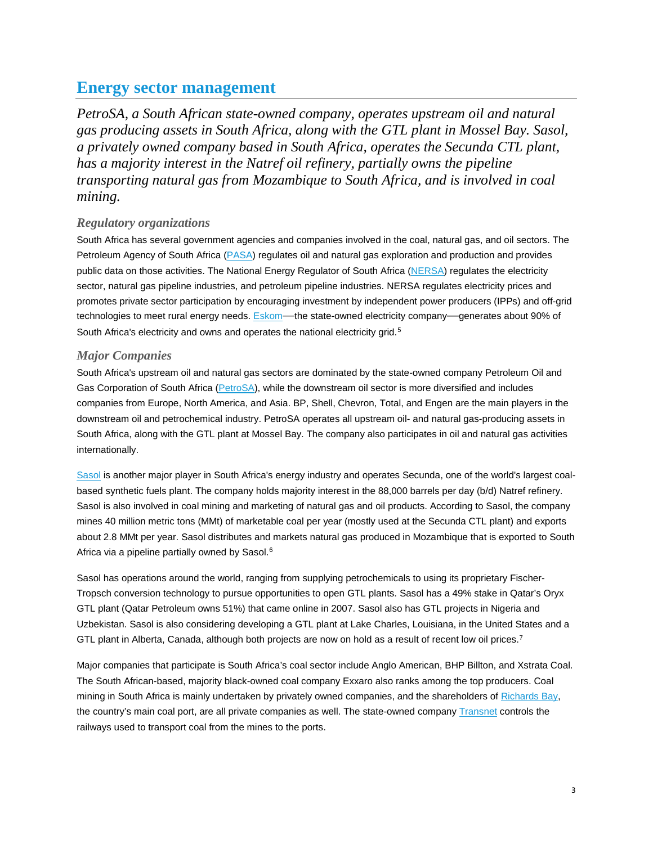## **Energy sector management**

*PetroSA, a South African state-owned company, operates upstream oil and natural gas producing assets in South Africa, along with the GTL plant in Mossel Bay. Sasol, a privately owned company based in South Africa, operates the Secunda CTL plant, has a majority interest in the Natref oil refinery, partially owns the pipeline transporting natural gas from Mozambique to South Africa, and is involved in coal mining.* 

## *Regulatory organizations*

South Africa has several government agencies and companies involved in the coal, natural gas, and oil sectors. The Petroleum Agency of South Africa [\(PASA\)](http://www.petroleumagencysa.com/) regulates oil and natural gas exploration and production and provides public data on those activities. The National Energy Regulator of South Africa [\(NERSA\)](http://www.nersa.org.za/) regulates the electricity sector, natural gas pipeline industries, and petroleum pipeline industries. NERSA regulates electricity prices and promotes private sector participation by encouraging investment by independent power producers (IPPs) and off-grid technologies to meet rural energy needs. **[Eskom—](http://www.eskom.co.za/live/index.php)the state-owned electricity company—generates about 90% of** South Africa's electricity and owns and operates the national electricity grid.<sup>[5](#page-16-3)</sup>

### *Major Companies*

South Africa's upstream oil and natural gas sectors are dominated by the state-owned company Petroleum Oil and Gas Corporation of South Africa [\(PetroSA\)](http://www.petrosa.co.za/Pages/Home.aspx), while the downstream oil sector is more diversified and includes companies from Europe, North America, and Asia. BP, Shell, Chevron, Total, and Engen are the main players in the downstream oil and petrochemical industry. PetroSA operates all upstream oil- and natural gas-producing assets in South Africa, along with the GTL plant at Mossel Bay. The company also participates in oil and natural gas activities internationally.

[Sasol](http://www.sasol.com/sasol_internet/frontend/navigation.jsp?navid=1&rootid=1) is another major player in South Africa's energy industry and operates Secunda, one of the world's largest coalbased synthetic fuels plant. The company holds majority interest in the 88,000 barrels per day (b/d) Natref refinery. Sasol is also involved in coal mining and marketing of natural gas and oil products. According to Sasol, the company mines 40 million metric tons (MMt) of marketable coal per year (mostly used at the Secunda CTL plant) and exports about 2.8 MMt per year. Sasol distributes and markets natural gas produced in Mozambique that is exported to South Africa via a pipeline partially owned by Sasol. [6](#page-16-4)

Sasol has operations around the world, ranging from supplying petrochemicals to using its proprietary Fischer-Tropsch conversion technology to pursue opportunities to open GTL plants. Sasol has a 49% stake in Qatar's Oryx GTL plant (Qatar Petroleum owns 51%) that came online in 2007. Sasol also has GTL projects in Nigeria and Uzbekistan. Sasol is also considering developing a GTL plant at Lake Charles, Louisiana, in the United States and a GTL plant in Alberta, Canada, although both projects are now on hold as a result of recent low oil prices.<sup>[7](#page-16-5)</sup>

Major companies that participate is South Africa's coal sector include Anglo American, BHP Billton, and Xstrata Coal. The South African-based, majority black-owned coal company Exxaro also ranks among the top producers. Coal mining in South Africa is mainly undertaken by privately owned companies, and the shareholders o[f Richards Bay,](http://www.rbct.co.za/) the country's main coal port, are all private companies as well. The state-owned compan[y Transnet](http://www.transnet.net/Pages/Home.aspx) controls the railways used to transport coal from the mines to the ports.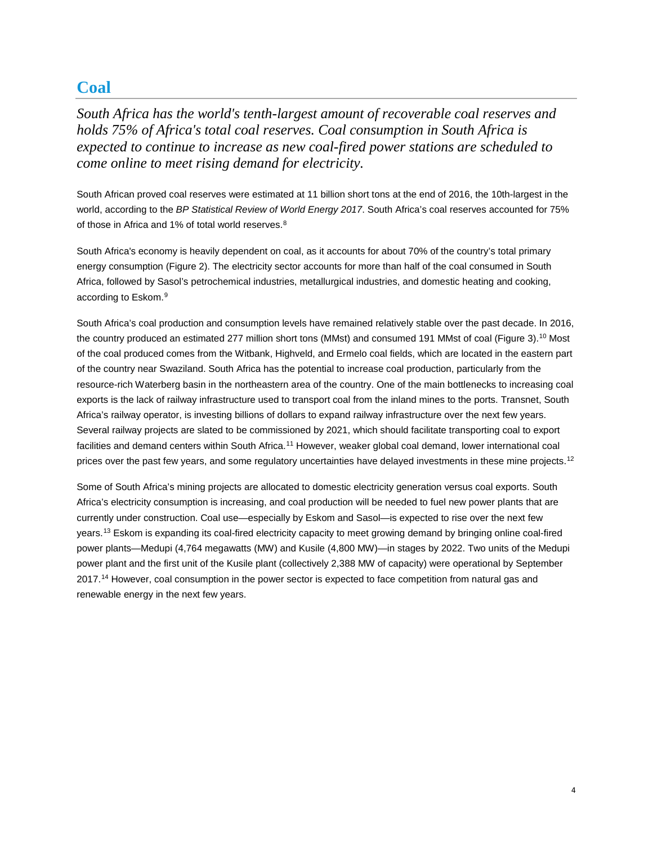## **Coal**

*South Africa has the world's tenth-largest amount of recoverable coal reserves and holds 75% of Africa's total coal reserves. Coal consumption in South Africa is expected to continue to increase as new coal-fired power stations are scheduled to come online to meet rising demand for electricity.*

South African proved coal reserves were estimated at 11 billion short tons at the end of 2016, the 10th-largest in the world, according to the *BP Statistical Review of World Energy 2017*. South Africa's coal reserves accounted for 75% of those in Africa and 1% of total world reserves.<sup>[8](#page-16-6)</sup>

South Africa's economy is heavily dependent on coal, as it accounts for about 70% of the country's total primary energy consumption (Figure 2). The electricity sector accounts for more than half of the coal consumed in South Africa, followed by Sasol's petrochemical industries, metallurgical industries, and domestic heating and cooking, according to Eskom. [9](#page-16-7)

South Africa's coal production and consumption levels have remained relatively stable over the past decade. In 2016, the country produced an estimated 277 million short tons (MMst) and consumed 191 MMst of coal (Figure 3).<sup>[10](#page-16-8)</sup> Most of the coal produced comes from the Witbank, Highveld, and Ermelo coal fields, which are located in the eastern part of the country near Swaziland. South Africa has the potential to increase coal production, particularly from the resource-rich Waterberg basin in the northeastern area of the country. One of the main bottlenecks to increasing coal exports is the lack of railway infrastructure used to transport coal from the inland mines to the ports. Transnet, South Africa's railway operator, is investing billions of dollars to expand railway infrastructure over the next few years. Several railway projects are slated to be commissioned by 2021, which should facilitate transporting coal to export facilities and demand centers within South Africa.<sup>[11](#page-16-9)</sup> However, weaker global coal demand, lower international coal prices over the past few years, and some regulatory uncertainties have delayed investments in these mine projects.<sup>[12](#page-16-10)</sup>

Some of South Africa's mining projects are allocated to domestic electricity generation versus coal exports. South Africa's electricity consumption is increasing, and coal production will be needed to fuel new power plants that are currently under construction. Coal use—especially by Eskom and Sasol—is expected to rise over the next few years.[13](#page-16-11) Eskom is expanding its coal-fired electricity capacity to meet growing demand by bringing online coal-fired power plants—Medupi (4,764 megawatts (MW) and Kusile (4,800 MW)—in stages by 2022. Two units of the Medupi power plant and the first unit of the Kusile plant (collectively 2,388 MW of capacity) were operational by September 2017.<sup>[14](#page-16-12)</sup> However, coal consumption in the power sector is expected to face competition from natural gas and renewable energy in the next few years.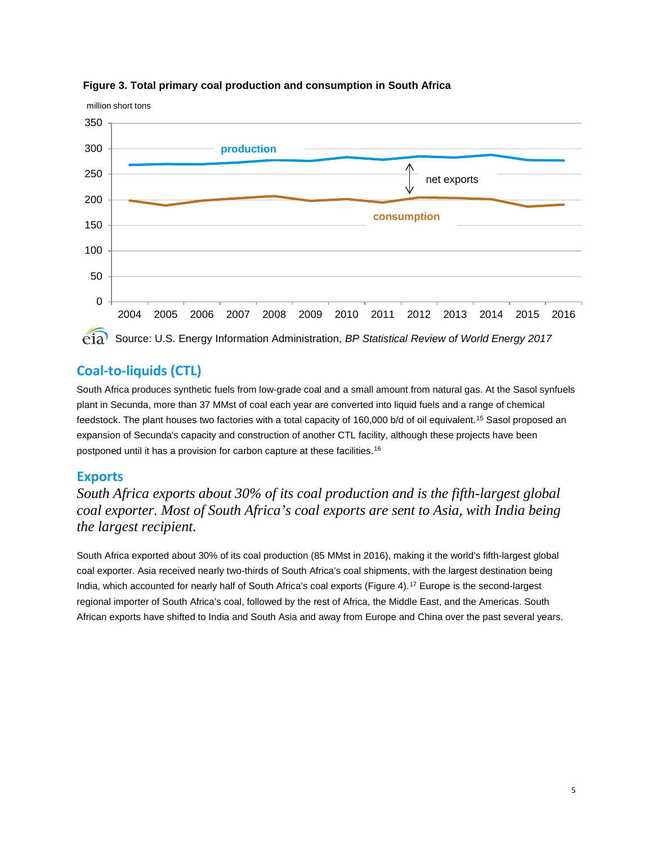

#### **Figure 3. Total primary coal production and consumption in South Africa**

## **Coal-to-liquids (CTL)**

South Africa produces synthetic fuels from low-grade coal and a small amount from natural gas. At the Sasol synfuels plant in Secunda, more than 37 MMst of coal each year are converted into liquid fuels and a range of chemical feedstock. The plant houses two factories with a total capacity of 160,000 b/d of oil equivalent.[15](#page-16-13) Sasol proposed an expansion of Secunda's capacity and construction of another CTL facility, although these projects have been postponed until it has a provision for carbon capture at these facilities. [16](#page-16-14)

## **Exports**

*South Africa exports about 30% of its coal production and is the fifth-largest global coal exporter. Most of South Africa's coal exports are sent to Asia, with India being the largest recipient.* 

South Africa exported about 30% of its coal production (85 MMst in 2016), making it the world's fifth-largest global coal exporter. Asia received nearly two-thirds of South Africa's coal shipments, with the largest destination being India, which accounted for nearly half of South Africa's coal exports (Figure 4). [17](#page-16-15) Europe is the second-largest regional importer of South Africa's coal, followed by the rest of Africa, the Middle East, and the Americas. South African exports have shifted to India and South Asia and away from Europe and China over the past several years.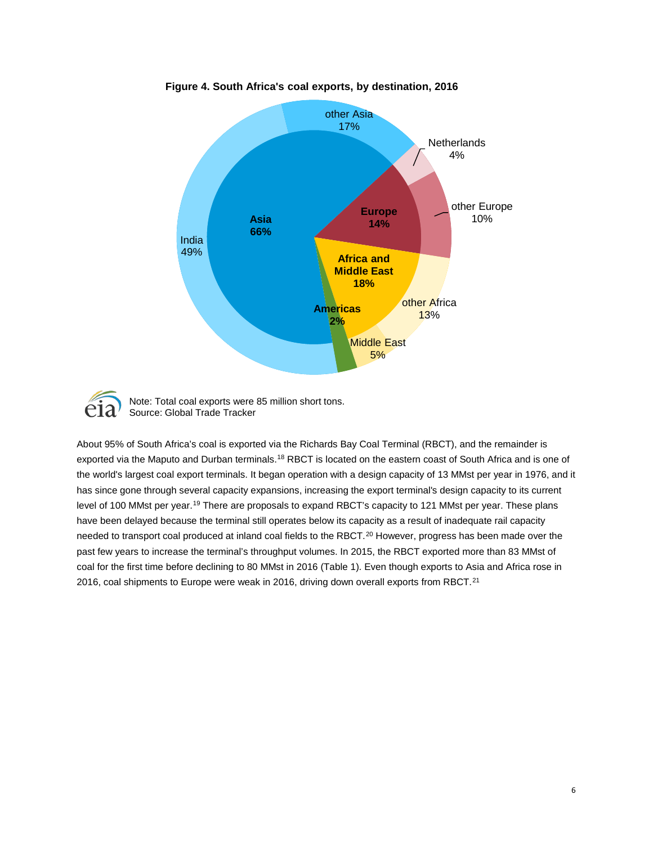

**Figure 4. South Africa's coal exports, by destination, 2016**



Note: Total coal exports were 85 million short tons. Source: Global Trade Tracker

About 95% of South Africa's coal is exported via the Richards Bay Coal Terminal (RBCT), and the remainder is exported via the Maputo and Durban terminals.<sup>[18](#page-16-16)</sup> RBCT is located on the eastern coast of South Africa and is one of the world's largest coal export terminals. It began operation with a design capacity of 13 MMst per year in 1976, and it has since gone through several capacity expansions, increasing the export terminal's design capacity to its current level of 100 MMst per year.<sup>[19](#page-16-17)</sup> There are proposals to expand RBCT's capacity to 121 MMst per year. These plans have been delayed because the terminal still operates below its capacity as a result of inadequate rail capacity needed to transport coal produced at inland coal fields to the RBCT.<sup>[20](#page-16-18)</sup> However, progress has been made over the past few years to increase the terminal's throughput volumes. In 2015, the RBCT exported more than 83 MMst of coal for the first time before declining to 80 MMst in 2016 (Table 1). Even though exports to Asia and Africa rose in 2016, coal shipments to Europe were weak in 2016, driving down overall exports from RBCT.<sup>[21](#page-16-19)</sup>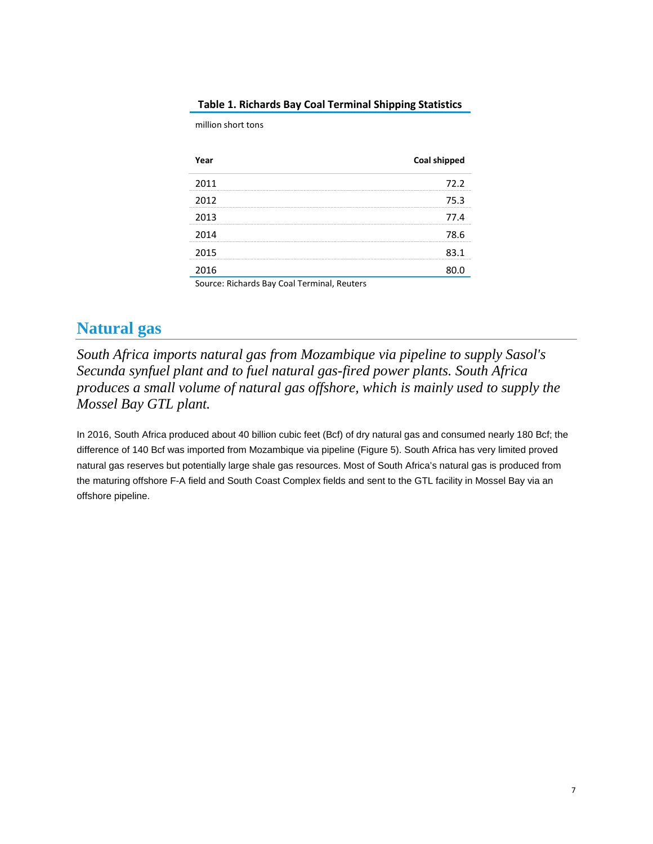| Year                                        | <b>Coal shipped</b> |
|---------------------------------------------|---------------------|
| 2011                                        | 72 Z                |
| 2012                                        | 75.3                |
| 2013                                        | 77 4                |
| 2014                                        | 78.6                |
| 2015                                        | 83.1                |
| 2016                                        | 80.0                |
| Source: Richards Bay Coal Terminal, Reuters |                     |

### **Table 1. Richards Bay Coal Terminal Shipping Statistics**

million short tons

## **Natural gas**

*South Africa imports natural gas from Mozambique via pipeline to supply Sasol's Secunda synfuel plant and to fuel natural gas-fired power plants. South Africa produces a small volume of natural gas offshore, which is mainly used to supply the Mossel Bay GTL plant.*

In 2016, South Africa produced about 40 billion cubic feet (Bcf) of dry natural gas and consumed nearly 180 Bcf; the difference of 140 Bcf was imported from Mozambique via pipeline (Figure 5). South Africa has very limited proved natural gas reserves but potentially large shale gas resources. Most of South Africa's natural gas is produced from the maturing offshore F-A field and South Coast Complex fields and sent to the GTL facility in Mossel Bay via an offshore pipeline.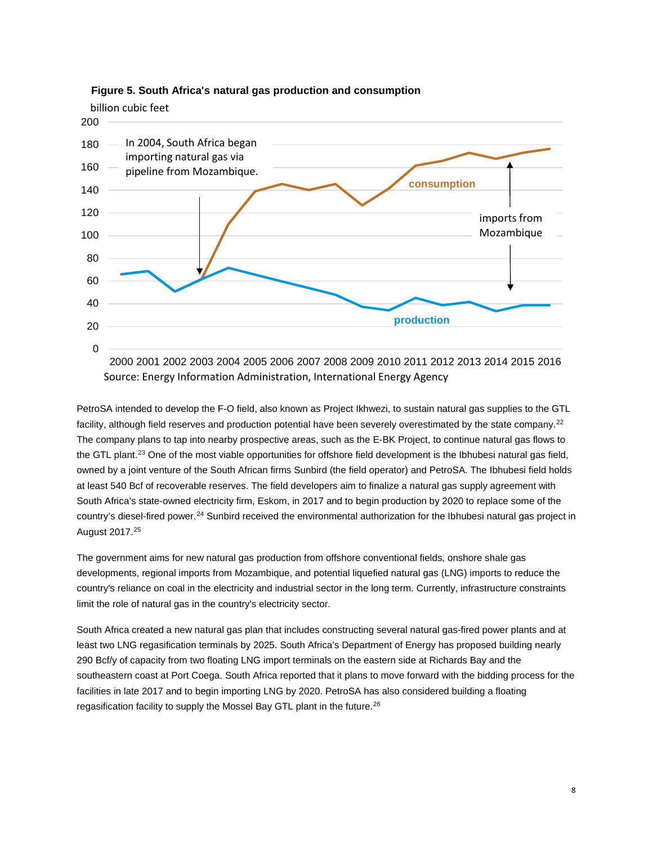

**Figure 5. South Africa's natural gas production and consumption**

PetroSA intended to develop the F-O field, also known as Project Ikhwezi, to sustain natural gas supplies to the GTL facility, although field reserves and production potential have been severely overestimated by the state company.<sup>[22](#page-16-20)</sup> The company plans to tap into nearby prospective areas, such as the E-BK Project, to continue natural gas flows to the GTL plant.<sup>[23](#page-16-21)</sup> One of the most viable opportunities for offshore field development is the Ibhubesi natural gas field, owned by a joint venture of the South African firms Sunbird (the field operator) and PetroSA. The Ibhubesi field holds at least 540 Bcf of recoverable reserves. The field developers aim to finalize a natural gas supply agreement with South Africa's state-owned electricity firm, Eskom, in 2017 and to begin production by 2020 to replace some of the country's diesel-fired power.[24](#page-16-22) Sunbird received the environmental authorization for the Ibhubesi natural gas project in August 2017.[25](#page-16-23)

The government aims for new natural gas production from offshore conventional fields, onshore shale gas developments, regional imports from Mozambique, and potential liquefied natural gas (LNG) imports to reduce the country's reliance on coal in the electricity and industrial sector in the long term. Currently, infrastructure constraints limit the role of natural gas in the country's electricity sector.

South Africa created a new natural gas plan that includes constructing several natural gas-fired power plants and at least two LNG regasification terminals by 2025. South Africa's Department of Energy has proposed building nearly 290 Bcf/y of capacity from two floating LNG import terminals on the eastern side at Richards Bay and the southeastern coast at Port Coega. South Africa reported that it plans to move forward with the bidding process for the facilities in late 2017 and to begin importing LNG by 2020. PetroSA has also considered building a floating regasification facility to supply the Mossel Bay GTL plant in the future.[26](#page-16-24)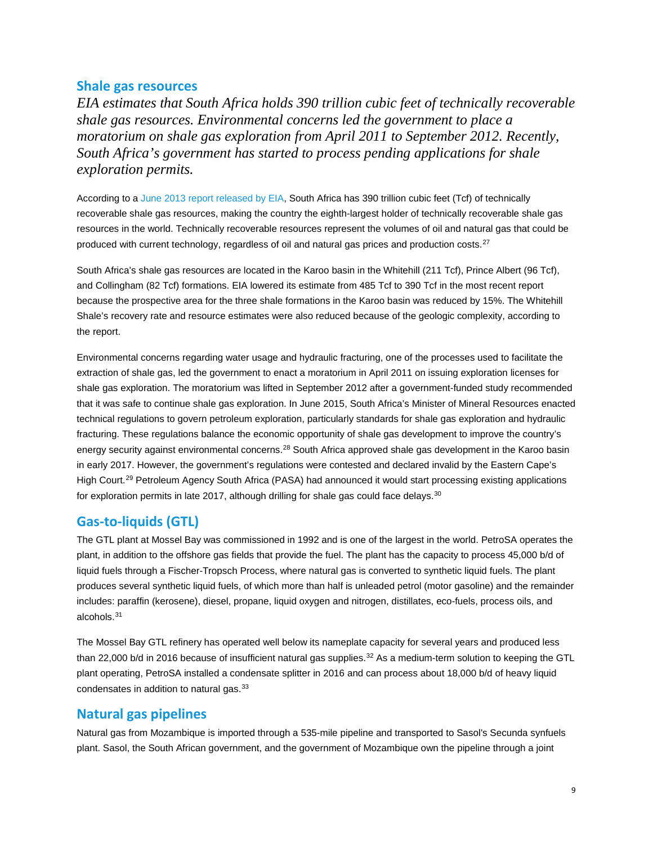## **Shale gas resources**

*EIA estimates that South Africa holds 390 trillion cubic feet of technically recoverable shale gas resources. Environmental concerns led the government to place a moratorium on shale gas exploration from April 2011 to September 2012. Recently, South Africa's government has started to process pending applications for shale exploration permits.* 

According to a [June 2013 report released by EIA,](http://www.eia.gov/analysis/studies/worldshalegas/) South Africa has 390 trillion cubic feet (Tcf) of technically recoverable shale gas resources, making the country the eighth-largest holder of technically recoverable shale gas resources in the world. Technically recoverable resources represent the volumes of oil and natural gas that could be produced with current technology, regardless of oil and natural gas prices and production costs.[27](#page-16-25)

South Africa's shale gas resources are located in the Karoo basin in the Whitehill (211 Tcf), Prince Albert (96 Tcf), and Collingham (82 Tcf) formations. EIA lowered its estimate from 485 Tcf to 390 Tcf in the most recent report because the prospective area for the three shale formations in the Karoo basin was reduced by 15%. The Whitehill Shale's recovery rate and resource estimates were also reduced because of the geologic complexity, according to the report.

Environmental concerns regarding water usage and hydraulic fracturing, one of the processes used to facilitate the extraction of shale gas, led the government to enact a moratorium in April 2011 on issuing exploration licenses for shale gas exploration. The moratorium was lifted in September 2012 after a government-funded study recommended that it was safe to continue shale gas exploration. In June 2015, South Africa's Minister of Mineral Resources enacted technical regulations to govern petroleum exploration, particularly standards for shale gas exploration and hydraulic fracturing. These regulations balance the economic opportunity of shale gas development to improve the country's energy security against environmental concerns.<sup>[28](#page-16-26)</sup> South Africa approved shale gas development in the Karoo basin in early 2017. However, the government's regulations were contested and declared invalid by the Eastern Cape's High Court.<sup>[29](#page-16-27)</sup> Petroleum Agency South Africa (PASA) had announced it would start processing existing applications for exploration permits in late 2017, although drilling for shale gas could face delays.<sup>[30](#page-16-28)</sup>

## **Gas-to-liquids (GTL)**

The GTL plant at Mossel Bay was commissioned in 1992 and is one of the largest in the world. PetroSA operates the plant, in addition to the offshore gas fields that provide the fuel. The plant has the capacity to process 45,000 b/d of liquid fuels through a Fischer-Tropsch Process, where natural gas is converted to synthetic liquid fuels. The plant produces several synthetic liquid fuels, of which more than half is unleaded petrol (motor gasoline) and the remainder includes: paraffin (kerosene), diesel, propane, liquid oxygen and nitrogen, distillates, eco-fuels, process oils, and alcohols.[31](#page-16-29)

The Mossel Bay GTL refinery has operated well below its nameplate capacity for several years and produced less than 22,000 b/d in 2016 because of insufficient natural gas supplies.<sup>[32](#page-16-30)</sup> As a medium-term solution to keeping the GTL plant operating, PetroSA installed a condensate splitter in 2016 and can process about 18,000 b/d of heavy liquid condensates in addition to natural gas.<sup>[33](#page-16-31)</sup>

## **Natural gas pipelines**

Natural gas from Mozambique is imported through a 535-mile pipeline and transported to Sasol's Secunda synfuels plant. Sasol, the South African government, and the government of Mozambique own the pipeline through a joint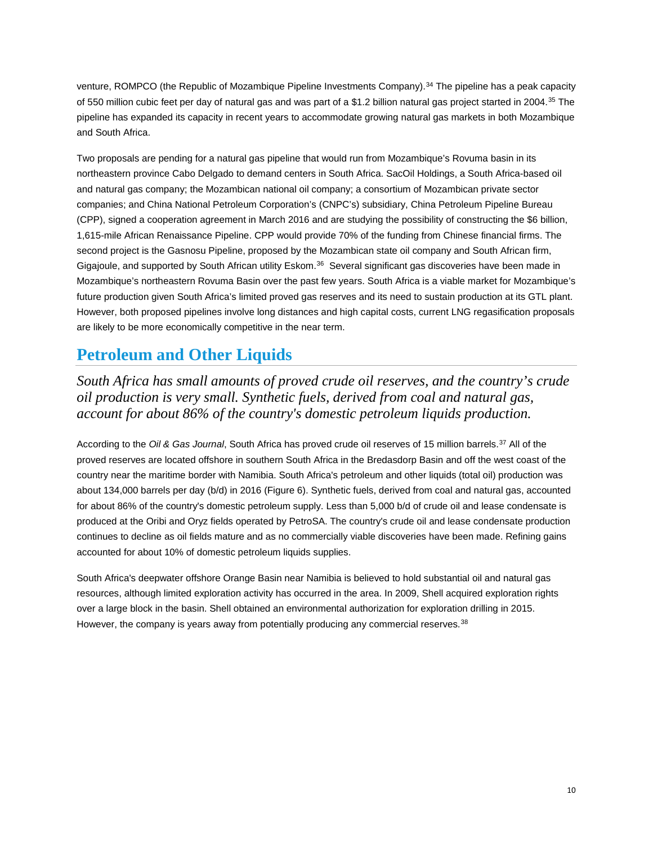venture, ROMPCO (the Republic of Mozambique Pipeline Investments Company). [34](#page-16-32) The pipeline has a peak capacity of 550 million cubic feet per day of natural gas and was part of a \$1.2 billion natural gas project started in 2004.[35](#page-16-33) The pipeline has expanded its capacity in recent years to accommodate growing natural gas markets in both Mozambique and South Africa.

Two proposals are pending for a natural gas pipeline that would run from Mozambique's Rovuma basin in its northeastern province Cabo Delgado to demand centers in South Africa. SacOil Holdings, a South Africa-based oil and natural gas company; the Mozambican national oil company; a consortium of Mozambican private sector companies; and China National Petroleum Corporation's (CNPC's) subsidiary, China Petroleum Pipeline Bureau (CPP), signed a cooperation agreement in March 2016 and are studying the possibility of constructing the \$6 billion, 1,615-mile African Renaissance Pipeline. CPP would provide 70% of the funding from Chinese financial firms. The second project is the Gasnosu Pipeline, proposed by the Mozambican state oil company and South African firm, Gigajoule, and supported by South African utility Eskom.<sup>[36](#page-16-34)</sup> Several significant gas discoveries have been made in Mozambique's northeastern Rovuma Basin over the past few years. South Africa is a viable market for Mozambique's future production given South Africa's limited proved gas reserves and its need to sustain production at its GTL plant. However, both proposed pipelines involve long distances and high capital costs, current LNG regasification proposals are likely to be more economically competitive in the near term.

# **Petroleum and Other Liquids**

*South Africa has small amounts of proved crude oil reserves, and the country's crude oil production is very small. Synthetic fuels, derived from coal and natural gas, account for about 86% of the country's domestic petroleum liquids production.*

According to the *Oil & Gas Journal*, South Africa has proved crude oil reserves of 15 million barrels.[37](#page-16-35) All of the proved reserves are located offshore in southern South Africa in the Bredasdorp Basin and off the west coast of the country near the maritime border with Namibia. South Africa's petroleum and other liquids (total oil) production was about 134,000 barrels per day (b/d) in 2016 (Figure 6). Synthetic fuels, derived from coal and natural gas, accounted for about 86% of the country's domestic petroleum supply. Less than 5,000 b/d of crude oil and lease condensate is produced at the Oribi and Oryz fields operated by PetroSA. The country's crude oil and lease condensate production continues to decline as oil fields mature and as no commercially viable discoveries have been made. Refining gains accounted for about 10% of domestic petroleum liquids supplies.

South Africa's deepwater offshore Orange Basin near Namibia is believed to hold substantial oil and natural gas resources, although limited exploration activity has occurred in the area. In 2009, Shell acquired exploration rights over a large block in the basin. Shell obtained an environmental authorization for exploration drilling in 2015. However, the company is years away from potentially producing any commercial reserves.<sup>[38](#page-16-36)</sup>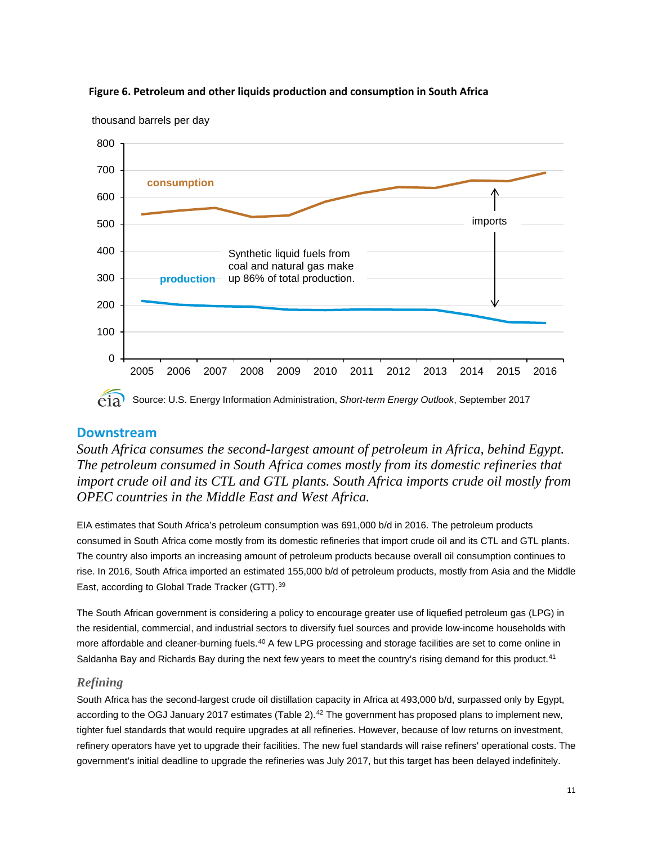

### **Figure 6. Petroleum and other liquids production and consumption in South Africa**

# **Downstream**

*South Africa consumes the second-largest amount of petroleum in Africa, behind Egypt. The petroleum consumed in South Africa comes mostly from its domestic refineries that import crude oil and its CTL and GTL plants. South Africa imports crude oil mostly from OPEC countries in the Middle East and West Africa.*

EIA estimates that South Africa's petroleum consumption was 691,000 b/d in 2016. The petroleum products consumed in South Africa come mostly from its domestic refineries that import crude oil and its CTL and GTL plants. The country also imports an increasing amount of petroleum products because overall oil consumption continues to rise. In 2016, South Africa imported an estimated 155,000 b/d of petroleum products, mostly from Asia and the Middle East, according to Global Trade Tracker (GTT).[39](#page-16-37)

The South African government is considering a policy to encourage greater use of liquefied petroleum gas (LPG) in the residential, commercial, and industrial sectors to diversify fuel sources and provide low-income households with more affordable and cleaner-burning fuels.<sup>[40](#page-16-38)</sup> A few LPG processing and storage facilities are set to come online in Saldanha Bay and Richards Bay during the next few years to meet the country's rising demand for this product.<sup>[41](#page-16-39)</sup>

## *Refining*

South Africa has the second-largest crude oil distillation capacity in Africa at 493,000 b/d, surpassed only by Egypt, according to the OGJ January 2017 estimates (Table 2). $^{42}$  $^{42}$  $^{42}$  The government has proposed plans to implement new, tighter fuel standards that would require upgrades at all refineries. However, because of low returns on investment, refinery operators have yet to upgrade their facilities. The new fuel standards will raise refiners' operational costs. The government's initial deadline to upgrade the refineries was July 2017, but this target has been delayed indefinitely.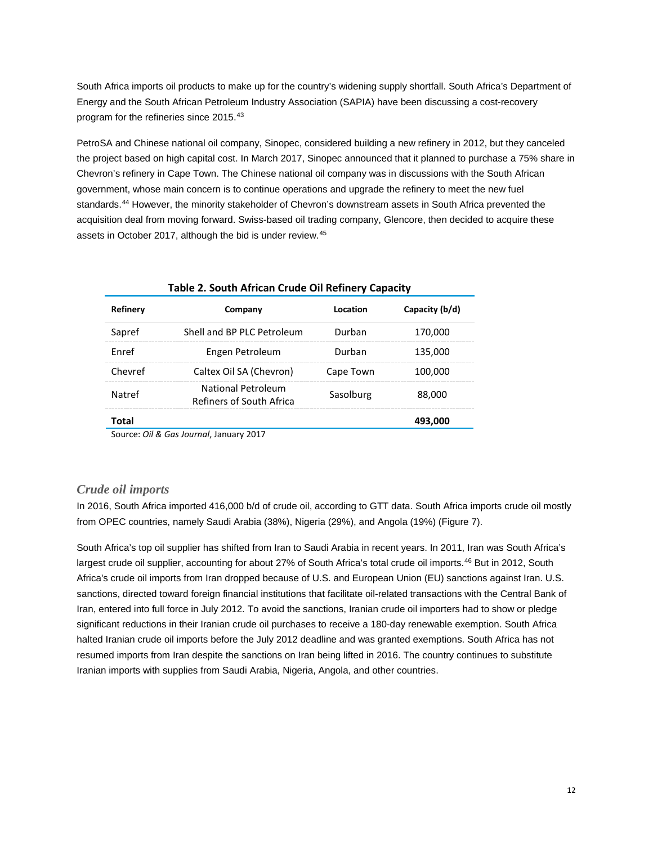South Africa imports oil products to make up for the country's widening supply shortfall. South Africa's Department of Energy and the South African Petroleum Industry Association (SAPIA) have been discussing a cost-recovery program for the refineries since 2015.[43](#page-16-41)

PetroSA and Chinese national oil company, Sinopec, considered building a new refinery in 2012, but they canceled the project based on high capital cost. In March 2017, Sinopec announced that it planned to purchase a 75% share in Chevron's refinery in Cape Town. The Chinese national oil company was in discussions with the South African government, whose main concern is to continue operations and upgrade the refinery to meet the new fuel standards. [44](#page-16-42) However, the minority stakeholder of Chevron's downstream assets in South Africa prevented the acquisition deal from moving forward. Swiss-based oil trading company, Glencore, then decided to acquire these assets in October 2017, although the bid is under review. [45](#page-16-43)

| Table 2. South African Crude Oil Refinery Capacity |                                                       |           |                |  |
|----------------------------------------------------|-------------------------------------------------------|-----------|----------------|--|
| Refinery                                           | Company                                               | Location  | Capacity (b/d) |  |
| Sapref                                             | Shell and BP PLC Petroleum                            | Durban    | 170,000        |  |
| <b>F</b> nref                                      | Engen Petroleum                                       | Durban    | 135,000        |  |
| Chevref                                            | Caltex Oil SA (Chevron)                               | Cape Town | 100,000        |  |
| Natref                                             | <b>National Petroleum</b><br>Refiners of South Africa | Sasolburg | 88,000         |  |
| Total                                              |                                                       |           | 493,000        |  |

Source: *Oil & Gas Journal*, January 2017

#### *Crude oil imports*

In 2016, South Africa imported 416,000 b/d of crude oil, according to GTT data. South Africa imports crude oil mostly from OPEC countries, namely Saudi Arabia (38%), Nigeria (29%), and Angola (19%) (Figure 7).

South Africa's top oil supplier has shifted from Iran to Saudi Arabia in recent years. In 2011, Iran was South Africa's largest crude oil supplier, accounting for about 27% of South Africa's total crude oil imports.<sup>[46](#page-16-44)</sup> But in 2012, South Africa's crude oil imports from Iran dropped because of U.S. and European Union (EU) sanctions against Iran. U.S. sanctions, directed toward foreign financial institutions that facilitate oil-related transactions with the Central Bank of Iran, entered into full force in July 2012. To avoid the sanctions, Iranian crude oil importers had to show or pledge significant reductions in their Iranian crude oil purchases to receive a 180-day renewable exemption. South Africa halted Iranian crude oil imports before the July 2012 deadline and was granted exemptions. South Africa has not resumed imports from Iran despite the sanctions on Iran being lifted in 2016. The country continues to substitute Iranian imports with supplies from Saudi Arabia, Nigeria, Angola, and other countries.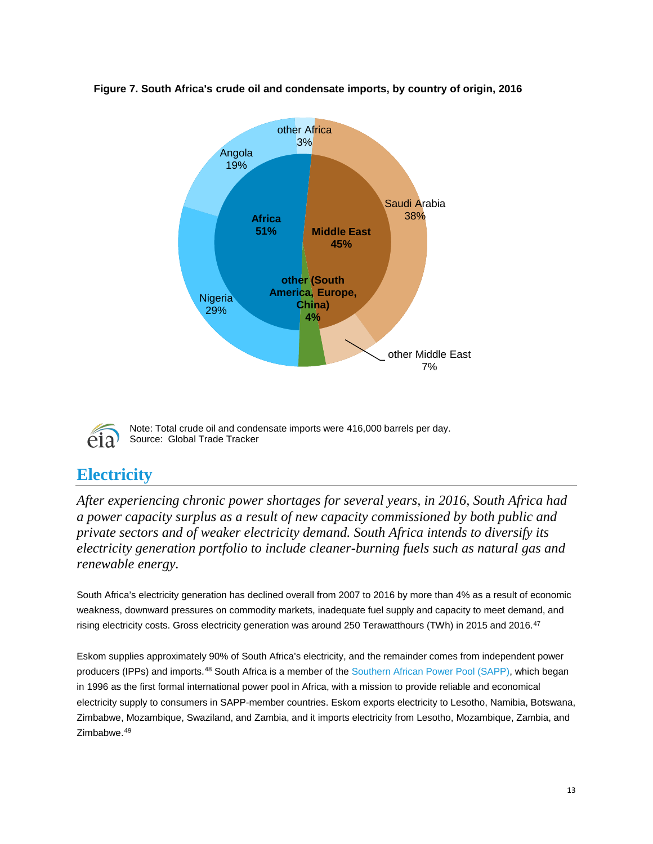

### **Figure 7. South Africa's crude oil and condensate imports, by country of origin, 2016**



Note: Total crude oil and condensate imports were 416,000 barrels per day. Source: Global Trade Tracker

# **Electricity**

*After experiencing chronic power shortages for several years, in 2016, South Africa had a power capacity surplus as a result of new capacity commissioned by both public and private sectors and of weaker electricity demand. South Africa intends to diversify its electricity generation portfolio to include cleaner-burning fuels such as natural gas and renewable energy.*

South Africa's electricity generation has declined overall from 2007 to 2016 by more than 4% as a result of economic weakness, downward pressures on commodity markets, inadequate fuel supply and capacity to meet demand, and rising electricity costs. Gross electricity generation was around 250 Terawatthours (TWh) in 2015 and 2016.[47](#page-16-45)

Eskom supplies approximately 90% of South Africa's electricity, and the remainder comes from independent power producers (IPPs) and imports.<sup>[48](#page-16-46)</sup> South Africa is a member of the [Southern African Power Pool \(SAPP\),](http://www.sapp.co.zw/) which began in 1996 as the first formal international power pool in Africa, with a mission to provide reliable and economical electricity supply to consumers in SAPP-member countries. Eskom exports electricity to Lesotho, Namibia, Botswana, Zimbabwe, Mozambique, Swaziland, and Zambia, and it imports electricity from Lesotho, Mozambique, Zambia, and Zimbabwe.[49](#page-16-47)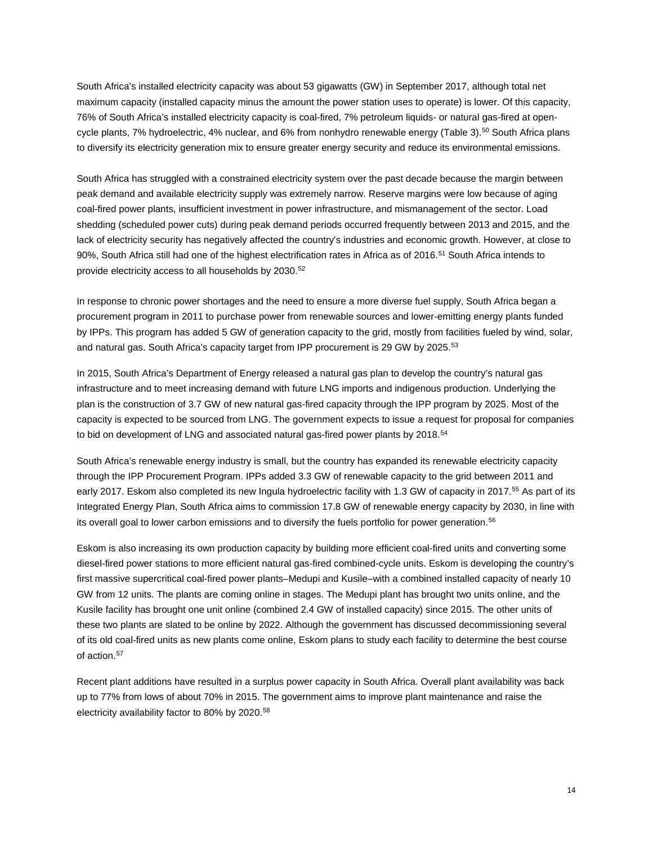South Africa's installed electricity capacity was about 53 gigawatts (GW) in September 2017, although total net maximum capacity (installed capacity minus the amount the power station uses to operate) is lower. Of this capacity, 76% of South Africa's installed electricity capacity is coal-fired, 7% petroleum liquids- or natural gas-fired at open-cycle plants, 7% hydroelectric, 4% nuclear, and 6% from nonhydro renewable energy (Table 3).<sup>[50](#page-16-48)</sup> South Africa plans to diversify its electricity generation mix to ensure greater energy security and reduce its environmental emissions.

South Africa has struggled with a constrained electricity system over the past decade because the margin between peak demand and available electricity supply was extremely narrow. Reserve margins were low because of aging coal-fired power plants, insufficient investment in power infrastructure, and mismanagement of the sector. Load shedding (scheduled power cuts) during peak demand periods occurred frequently between 2013 and 2015, and the lack of electricity security has negatively affected the country's industries and economic growth. However, at close to 90%, South Africa still had one of the highest electrification rates in Africa as of 2016. [51](#page-16-49) South Africa intends to provide electricity access to all households by 2030. [52](#page-16-50)

In response to chronic power shortages and the need to ensure a more diverse fuel supply, South Africa began a procurement program in 2011 to purchase power from renewable sources and lower-emitting energy plants funded by IPPs. This program has added 5 GW of generation capacity to the grid, mostly from facilities fueled by wind, solar, and natural gas. South Africa's capacity target from IPP procurement is 29 GW by 2025.[53](#page-16-51)

In 2015, South Africa's Department of Energy released a natural gas plan to develop the country's natural gas infrastructure and to meet increasing demand with future LNG imports and indigenous production. Underlying the plan is the construction of 3.7 GW of new natural gas-fired capacity through the IPP program by 2025. Most of the capacity is expected to be sourced from LNG. The government expects to issue a request for proposal for companies to bid on development of LNG and associated natural gas-fired power plants by 2018.<sup>[54](#page-16-52)</sup>

South Africa's renewable energy industry is small, but the country has expanded its renewable electricity capacity through the IPP Procurement Program. IPPs added 3.3 GW of renewable capacity to the grid between 2011 and early 2017. Eskom also completed its new Ingula hydroelectric facility with 1.3 GW of capacity in 2017.<sup>[55](#page-16-53)</sup> As part of its Integrated Energy Plan, South Africa aims to commission 17.8 GW of renewable energy capacity by 2030, in line with its overall goal to lower carbon emissions and to diversify the fuels portfolio for power generation. [56](#page-16-54)

Eskom is also increasing its own production capacity by building more efficient coal-fired units and converting some diesel-fired power stations to more efficient natural gas-fired combined-cycle units. Eskom is developing the country's first massive supercritical coal-fired power plants–Medupi and Kusile–with a combined installed capacity of nearly 10 GW from 12 units. The plants are coming online in stages. The Medupi plant has brought two units online, and the Kusile facility has brought one unit online (combined 2.4 GW of installed capacity) since 2015. The other units of these two plants are slated to be online by 2022. Although the government has discussed decommissioning several of its old coal-fired units as new plants come online, Eskom plans to study each facility to determine the best course of action.<sup>[57](#page-16-55)</sup>

Recent plant additions have resulted in a surplus power capacity in South Africa. Overall plant availability was back up to 77% from lows of about 70% in 2015. The government aims to improve plant maintenance and raise the electricity availability factor to 80% by 2020.[58](#page-16-56)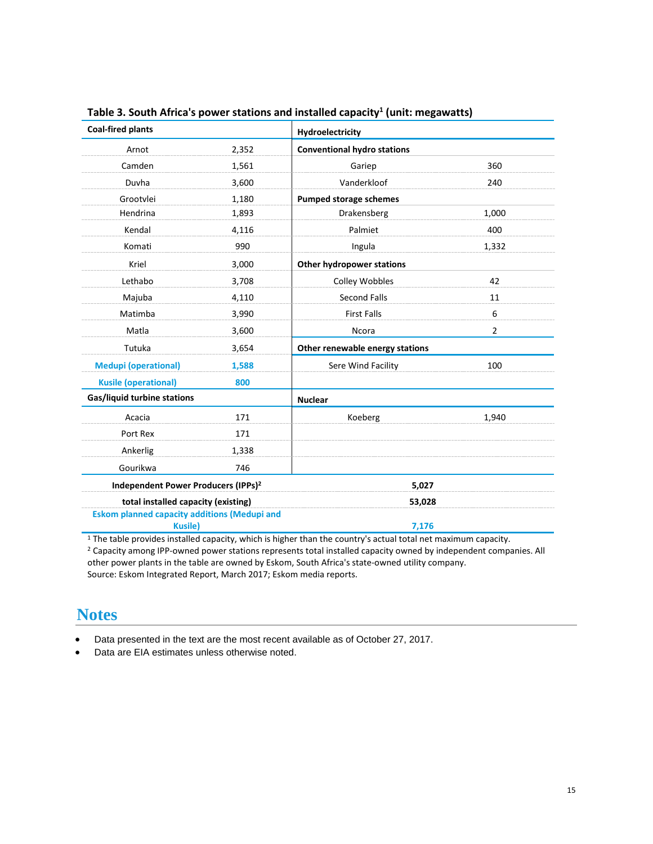| <b>Coal-fired plants</b>                            |       | Hydroelectricity                   |                |
|-----------------------------------------------------|-------|------------------------------------|----------------|
| Arnot                                               | 2,352 | <b>Conventional hydro stations</b> |                |
| Camden                                              | 1,561 | Gariep                             | 360            |
| Duvha                                               | 3,600 | Vanderkloof                        | 240            |
| Grootvlei                                           | 1,180 | Pumped storage schemes             |                |
| Hendrina                                            | 1,893 | Drakensberg                        | 1,000          |
| Kendal                                              | 4,116 | Palmiet                            | 400            |
| Komati                                              | 990   | Ingula                             | 1,332          |
| Kriel                                               | 3,000 | Other hydropower stations          |                |
| Lethabo                                             | 3,708 | Colley Wobbles                     | 42             |
| Majuba                                              | 4,110 | <b>Second Falls</b>                | 11             |
| Matimba                                             | 3,990 | <b>First Falls</b>                 | 6              |
| Matla                                               | 3,600 | <b>Ncora</b>                       | $\overline{2}$ |
| Tutuka                                              | 3,654 | Other renewable energy stations    |                |
| <b>Medupi (operational)</b>                         | 1,588 | Sere Wind Facility                 | 100            |
| <b>Kusile (operational)</b>                         | 800   |                                    |                |
| Gas/liquid turbine stations                         |       | <b>Nuclear</b>                     |                |
| Acacia                                              | 171   | Koeberg                            | 1,940          |
| Port Rex                                            | 171   |                                    |                |
| Ankerlig                                            | 1,338 |                                    |                |
| Gourikwa                                            | 746   |                                    |                |
| Independent Power Producers (IPPs) <sup>2</sup>     |       | 5,027                              |                |
| total installed capacity (existing)                 |       | 53,028                             |                |
| <b>Eskom planned capacity additions (Medupi and</b> |       |                                    |                |
| <b>Kusile</b> )                                     |       | 7,176                              |                |

**Table 3. South Africa's power stations and installed capacity1 (unit: megawatts)**

<sup>1</sup> The table provides installed capacity, which is higher than the country's actual total net maximum capacity.

<sup>2</sup> Capacity among IPP-owned power stations represents total installed capacity owned by independent companies. All other power plants in the table are owned by Eskom, South Africa's state-owned utility company. Source: Eskom Integrated Report, March 2017; Eskom media reports.

# **Notes**

• Data presented in the text are the most recent available as of October 27, 2017.

• Data are EIA estimates unless otherwise noted.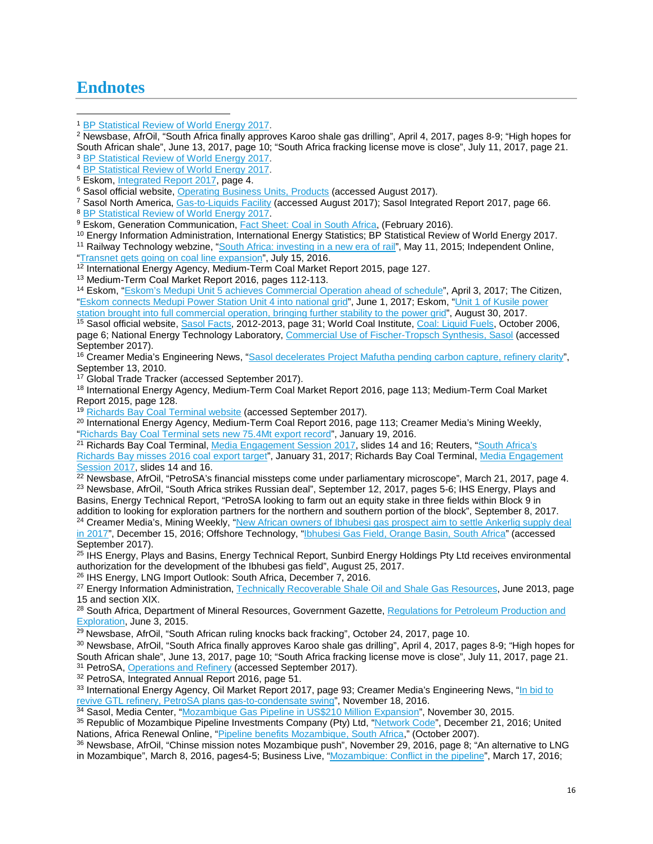# **Endnotes**

 $\overline{\phantom{a}}$ 

<sup>10</sup> Energy Information Administration, International Energy Statistics; BP Statistical Review of World Energy 2017.

<sup>11</sup> Railway Technology webzine, ["South Africa: investing in a new era of rail"](http://www.railway-technology.com/features/featuresouth-africa-investing-in-a-new-era-of-rail-4568871/), May 11, 2015; Independent Online, ["Transnet gets going on coal line expansion"](https://www.iol.co.za/business-report/companies/transnet-gets-going-on-coal-line-expansion-2045577), July 15, 2016.

<sup>12</sup> International Energy Agency, Medium-Term Coal Market Report 2015, page 127.

<sup>13</sup> Medium-Term Coal Market Report 2016, pages 112-113.

<sup>14</sup> Eskom, ["Eskom's Medupi Unit 5 achieves Commercial Operation ahead of schedule"](http://www.eskom.co.za/news/Pages/Aprl3.aspx), April 3, 2017; The Citizen, ["Eskom connects Medupi Power Station Unit 4 into national grid"](https://citizen.co.za/news/south-africa/1531189/eskom-connects-medupi-power-station-unit-4-national-grid/), June 1, 2017; Eskom, ["Unit 1 of Kusile](http://www.eskom.co.za/news/Pages/Augg30.aspx) power [station brought into full commercial operation, bringing further stability to the power grid"](http://www.eskom.co.za/news/Pages/Augg30.aspx), August 30, 2017.

<sup>15</sup> Sasol official website, <u>Sasol Facts</u>, 2012-2013, page 31; World Coal Institute, <u>Coal: Liquid Fuels</u>, October 2006, page 6; National Energy Technology Laboratory, [Commercial Use of Fischer-Tropsch Synthesis, Sasol](https://www.netl.doe.gov/research/coal/energy-systems/gasification/gasifipedia/sasol) (accessed September 2017).

<sup>16</sup> Creamer Media's Engineering News, ["Sasol decelerates Project Mafutha pending carbon capture, refinery clarity"](http://www.engineeringnews.co.za/article/sasol-decelerates-project-mafutha-pending-carbon-capture-refinery-clarity-2010-09-13/rep_id:4136), September 13, 2010.

<sup>17</sup> Global Trade Tracker (accessed September 2017).

<sup>18</sup> International Energy Agency, Medium-Term Coal Market Report 2016, page 113; Medium-Term Coal Market Report 2015, page 128.

<sup>19</sup> [Richards Bay Coal Terminal website](https://www.rbct.co.za/) (accessed September 2017).

<sup>20</sup> International Energy Agency, Medium-Term Coal Report 2016, page 113; Creamer Media's Mining Weekly, ["Richards Bay Coal Terminal sets new 75.4Mt export record"](http://www.miningweekly.com/article/richards-bay-coal-terminal-sets-new-754mt-export-record-2016-01-19), January 19, 2016.

21 Richards Bay Coal Terminal, [Media Engagement Session 2017,](https://www.rbct.co.za/wp-content/uploads/2017/02/January-2017-Media-Brief-rev6d.pdf) slides 14 and 16; Reuters, "South Africa's [Richards Bay misses 2016 coal export target"](http://af.reuters.com/article/investingNews/idAFKBN15F0MA), January 31, 2017; Richards Bay Coal Terminal, [Media Engagement](https://www.rbct.co.za/wp-content/uploads/2017/02/January-2017-Media-Brief-rev6d.pdf)  [Session 2017,](https://www.rbct.co.za/wp-content/uploads/2017/02/January-2017-Media-Brief-rev6d.pdf) slides 14 and 16.

 $^{22}$  Newsbase, AfrOil, "PetroSA's financial missteps come under parliamentary microscope", March 21, 2017, page 4.  $^{23}$  Newsbase, AfrOil, "South Africa strikes Russian deal", September 12, 2017, pages 5-6; IHS Energy, Plays and Basins, Energy Technical Report, "PetroSA looking to farm out an equity stake in three fields within Block 9 in

addition to looking for exploration partners for the northern and southern portion of the block", September 8, 2017. <sup>24</sup> Creamer Media's, Mining Weekly, "New African owners of Ibhubesi gas prospect aim to settle Ankerlig supply deal

<sup>25</sup> IHS Energy, Plays and Basins, Energy Technical Report, Sunbird Energy Holdings Pty Ltd receives environmental authorization for the development of the Ibhubesi gas field", August 25, 2017.

<sup>26</sup> IHS Energy, LNG Import Outlook: South Africa, December 7, 2016.

<sup>27</sup> Energy Information Administration[, Technically Recoverable Shale Oil and Shale Gas Resources,](https://www.eia.gov/analysis/studies/worldshalegas/archive/2013/pdf/fullreport_2013.pdf) June 2013, page 15 and section XIX.

<sup>28</sup> South Africa, Department of Mineral Resources, Government Gazette, Regulations for Petroleum Production and [Exploration,](https://www.gov.za/sites/www.gov.za/files/38855_rg10444_gon466.pdf) June 3, 2015.

<sup>29</sup> Newsbase, AfrOil, "South African ruling knocks back fracking", October 24, 2017, page 10.

<sup>30</sup> Newsbase, AfrOil, "South Africa finally approves Karoo shale gas drilling", April 4, 2017, pages 8-9; "High hopes for South African shale", June 13, 2017, page 10; "South Africa fracking license move is close", July 11, 2017, page 21. <sup>31</sup> PetroSA[, Operations and Refinery](http://www.petrosa.co.za/innovation_in_action/Pages/Operations-and-Refinery.aspx) (accessed September 2017).

<sup>32</sup> PetroSA, Integrated Annual Report 2016, page 51.

33 International Energy Agency, Oil Market Report 2017, page 93; Creamer Media's Engineering News, "In bid to [revive GTL refinery, PetroSA plans gas-to-condensate swing"](http://www.engineeringnews.co.za/article/in-bid-to-revive-gtl-refinery-petrosa-plans-gas-to-condensate-swing-2016-11-18/), November 18, 2016.

34 Sasol, Media Center, ["Mozambique Gas Pipeline in US\\$210 Million Expansion"](http://www.sasol.com/media-centre/media-releases/mozambique-gas-pipeline-us210-million-expansion), November 30, 2015.

<sup>35</sup> Republic of Mozambique Pipeline Investments Company (Pty) Ltd, ["Network Code"](http://www.rompco.co.za/sites/www.rompco.co.za/files/ROMPCO%20Network%20Code%20Dec%202016.pdf), December 21, 2016; United Nations, Africa Renewal Online, "Pipeline benefits Mozambique, South Africa," (October 2007).

<sup>36</sup> Newsbase, AfrOil, "Chinse mission notes Mozambique push", November 29, 2016, page 8; "An alternative to LNG in Mozambique", March 8, 2016, pages4-5; Business Live, ["Mozambique: Conflict in the pipeline"](https://www.businesslive.co.za/fm/fm-fox/2016-03-17-mozambique-conflict-in-the-pipeline/), March 17, 2016;

<span id="page-15-0"></span><sup>1</sup> [BP Statistical Review of World Energy](http://www.bp.com/content/dam/bp/en/corporate/pdf/energy-economics/statistical-review-2017/bp-statistical-review-of-world-energy-2017-full-report.pdf) 2017.

<sup>2</sup> Newsbase, AfrOil, "South Africa finally approves Karoo shale gas drilling", April 4, 2017, pages 8-9; "High hopes for South African shale", June 13, 2017, page 10; "South Africa fracking license move is close", July 11, 2017, page 21.

<sup>&</sup>lt;sup>3</sup> [BP Statistical Review of World Energy](http://www.bp.com/content/dam/bp/en/corporate/pdf/energy-economics/statistical-review-2017/bp-statistical-review-of-world-energy-2017-full-report.pdf) 2017.

<sup>&</sup>lt;sup>4</sup> [BP Statistical Review of World Energy](http://www.bp.com/content/dam/bp/en/corporate/pdf/energy-economics/statistical-review-2017/bp-statistical-review-of-world-energy-2017-full-report.pdf) 2017.<br><sup>5</sup> Eskom, Integrated Report 2017, page 4.

<sup>&</sup>lt;sup>6</sup> Sasol official website[, Operating Business Units, Products](http://www.sasol.com/about-sasol/operating-business-units/mining/products) (accessed August 2017).

<sup>7</sup> Sasol North America, [Gas-to-Liquids Facility](http://sasolnorthamerica.com/gtl) (accessed August 2017); Sasol Integrated Report 2017, page 66. <sup>8</sup> [BP Statistical Review of World Energy](http://www.bp.com/content/dam/bp/en/corporate/pdf/energy-economics/statistical-review-2017/bp-statistical-review-of-world-energy-2017-full-report.pdf) 2017.

<sup>&</sup>lt;sup>9</sup> Eskom, Generation Communication, *Fact Sheet: Coal in South Africa*, (February 2016).

[in 2017"](http://www.miningweekly.com/article/new-african-owners-of-ibhubesi-gas-prospect-aim-to-settle-ankerlig-supply-deal-in-2017-2016-12-15/), December 15, 2016; Offshore Technology, ["Ibhubesi Gas Field, Orange Basin, South Africa"](http://www.offshore-technology.com/projects/ibhubesi-gas-field-orange-basin/) (accessed September 2017).